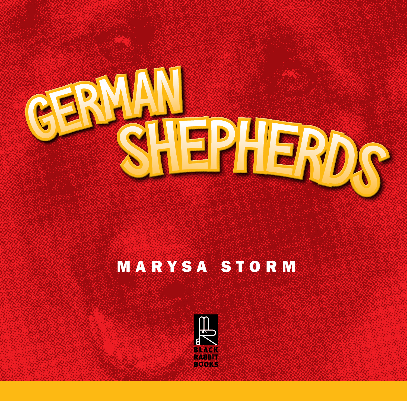

# MARYSA STORM

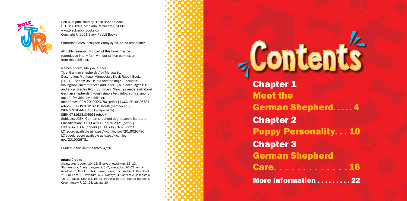- 
- German Shepherd. . . . . 4
- Puppy Personality. . . 10
- German Shepherd
- Care. . . . . . . . . . . . 1
- More Information . . . . . . . . 22

Chapter 1 Meet the Chapter 2 Chapter 3

# **Contents**



Bolt Jr. is published by Black Rabbit Books P.O. Box 3263, Mankato, Minnesota, 56002. www.blackrabbitbooks.com Copyright © 2021 Black Rabbit Books

Catherine Cates, designer; Omay Ayres, photo researcher

All rights reserved. No part of this book may be reproduced in any form without written permission from the publisher.

Names: Storm, Marysa, author.

Title: German shepherds / by Marysa Storm. Description: Mankato, Minnesota : Black Rabbit Books, [2021] | Series: Bolt Jr. our favorite dogs | Includes bibliographical references and index. | Audience: Ages 6-8 | Audience: Grades K-1 | Summary: "Teaches readers all about German shepherds through simple text, infographics, and fun facts"– Provided by publisher. Identifiers: LCCN 2019026780 (print) | LCCN 2019026781 (ebook) | ISBN 9781623104696 (hardcover) | ISBN 9781644664551 (paperback) | ISBN 9781623104993 (ebook) Subjects: LCSH: German shepherd dog–Juvenile literature. Classification: LCC SF429.G37 S76 2021 (print) | LCC SF429.G37 (ebook) | DDC 636.737/6–dc23 LC record available at https://lccn.loc.gov/2019026780 LC ebook record available at https://lccn.loc. gov/2019026781

Printed in the United States. 4/20

### Image Credits

Alamy: stuart owen, 10–11; iStock: photosbyjim, 12–13; Shutterstock: Aneta Jungerova, 6–7; anetapics, 20–21; Anna Aibetova, 1; ANNA TITOVA, 5; Ase, Cover; Eric Isselee, 4, 6–7, 8–9, 21; Erik Lam, 13; loveaum, 6–7; Naddya, 3, 24; Nicole Hollenstein, 18–19; Nikola Stanisic, 16–17; Petrovic Igor, 14; Rafael Trafaniuc, Cover; tinyowl7, 22–23; vaalaa, 10

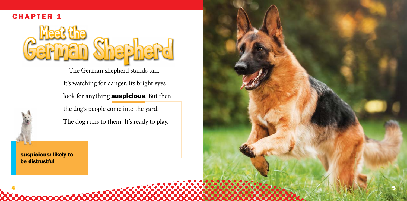suspicious: likely to be distrustful

**0000000000000** 

The German shepherd stands tall.

It's watching for danger. Its bright eyes

look for anything **suspicious**. But then

the dog's people come into the yard.

The dog runs to them. It's ready to play.





### CHAPTER 1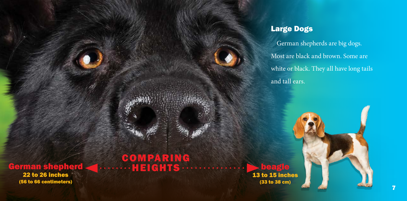COMPARING

### German shepherd HEIGHTS 22 to 26 inches (56 to 66 centimeters)



## Large Dogs

German shepherds are big dogs. Most are black and brown. Some are white or black. They all have long tails and tall ears.